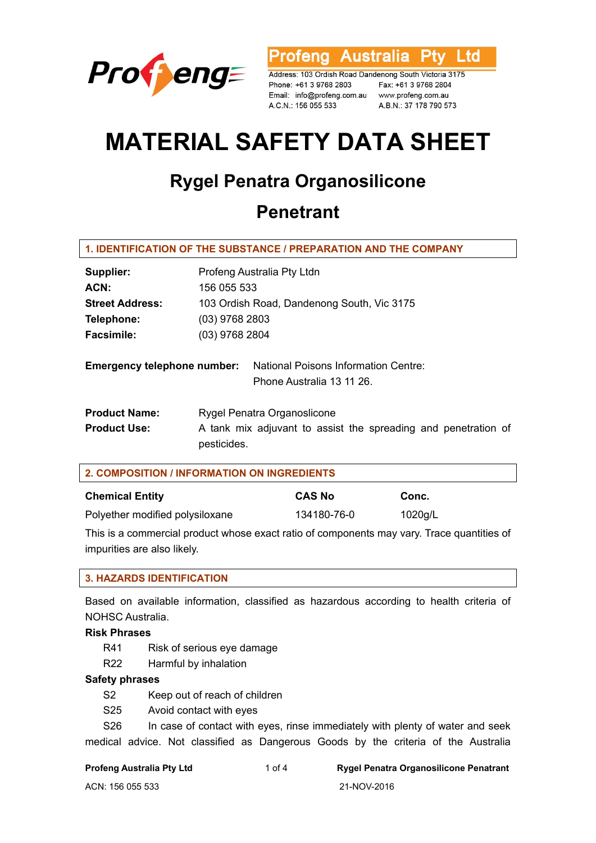

rofeng Australia l td

Address: 103 Ordish Road Dandenong South Victoria 3175 Phone: +61 3 9768 2803 Email: info@profeng.com.au www.profeng.com.au A.C.N.: 156 055 533

Fax: +61 3 9768 2804 A.B.N.: 37 178 790 573

# **MATERIAL SAFETY DATA SHEET**

# **Rygel Penatra Organosilicone**

# **Penetrant**

#### **1. IDENTIFICATION OF THE SUBSTANCE / PREPARATION AND THE COMPANY**

| Supplier:                          | Profeng Australia Pty Ltdn                                                    |  |  |
|------------------------------------|-------------------------------------------------------------------------------|--|--|
| ACN:                               | 156 055 533                                                                   |  |  |
| <b>Street Address:</b>             | 103 Ordish Road, Dandenong South, Vic 3175                                    |  |  |
| Telephone:                         | $(03)$ 9768 2803                                                              |  |  |
| <b>Facsimile:</b>                  | (03) 9768 2804                                                                |  |  |
| <b>Emergency telephone number:</b> | National Poisons Information Centre:<br>Phone Australia 13 11 26.             |  |  |
| <b>Product Name:</b>               | Rygel Penatra Organoslicone                                                   |  |  |
| <b>Product Use:</b>                | A tank mix adjuvant to assist the spreading and penetration of<br>pesticides. |  |  |

| 2. COMPOSITION / INFORMATION ON INGREDIENTS |               |         |  |
|---------------------------------------------|---------------|---------|--|
| <b>Chemical Entity</b>                      | <b>CAS No</b> | Conc.   |  |
| Polyether modified polysiloxane             | 134180-76-0   | 1020g/L |  |

This is a commercial product whose exact ratio of components may vary. Trace quantities of impurities are also likely.

# **3. HAZARDS IDENTIFICATION**

Based on available information, classified as hazardous according to health criteria of NOHSC Australia.

**Risk Phrases** 

- R41 Risk of serious eye damage
- R22 Harmful by inhalation

#### **Safety phrases**

- S2 Keep out of reach of children
- S25 Avoid contact with eyes

S26 In case of contact with eyes, rinse immediately with plenty of water and seek medical advice. Not classified as Dangerous Goods by the criteria of the Australia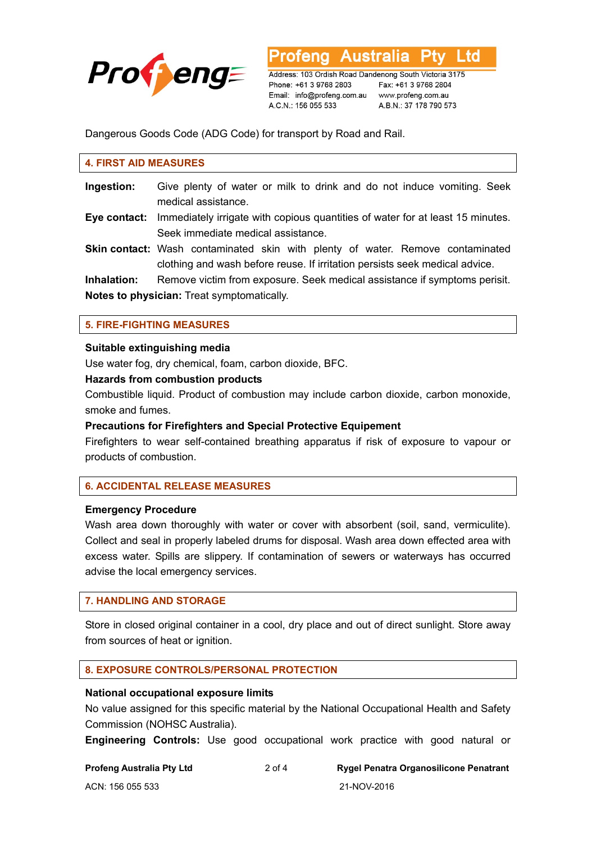

Address: 103 Ordish Road Dandenong South Victoria 3175 Phone: +61 3 9768 2803 Email: info@profeng.com.au A.C.N.: 156 055 533

**Australia** 

Fax: +61 3 9768 2804 www.profeng.com.au A.B.N.: 37 178 790 573

L td

Dangerous Goods Code (ADG Code) for transport by Road and Rail.

#### **4. FIRST AID MEASURES**

- **Ingestion:** Give plenty of water or milk to drink and do not induce vomiting. Seek medical assistance.
- **Eye contact:** Immediately irrigate with copious quantities of water for at least 15 minutes. Seek immediate medical assistance.
- **Skin contact:** Wash contaminated skin with plenty of water. Remove contaminated clothing and wash before reuse. If irritation persists seek medical advice.

**Inhalation:** Remove victim from exposure. Seek medical assistance if symptoms perisit. **Notes to physician:** Treat symptomatically.

#### **5. FIRE-FIGHTING MEASURES**

#### **Suitable extinguishing media**

Use water fog, dry chemical, foam, carbon dioxide, BFC.

#### **Hazards from combustion products**

Combustible liquid. Product of combustion may include carbon dioxide, carbon monoxide, smoke and fumes.

#### **Precautions for Firefighters and Special Protective Equipement**

Firefighters to wear self-contained breathing apparatus if risk of exposure to vapour or products of combustion.

# **6. ACCIDENTAL RELEASE MEASURES**

#### **Emergency Procedure**

Wash area down thoroughly with water or cover with absorbent (soil, sand, vermiculite). Collect and seal in properly labeled drums for disposal. Wash area down effected area with excess water. Spills are slippery. If contamination of sewers or waterways has occurred advise the local emergency services.

#### **7. HANDLING AND STORAGE**

Store in closed original container in a cool, dry place and out of direct sunlight. Store away from sources of heat or ignition.

#### **8. EXPOSURE CONTROLS/PERSONAL PROTECTION**

#### **National occupational exposure limits**

No value assigned for this specific material by the National Occupational Health and Safety Commission (NOHSC Australia).

**Engineering Controls:** Use good occupational work practice with good natural or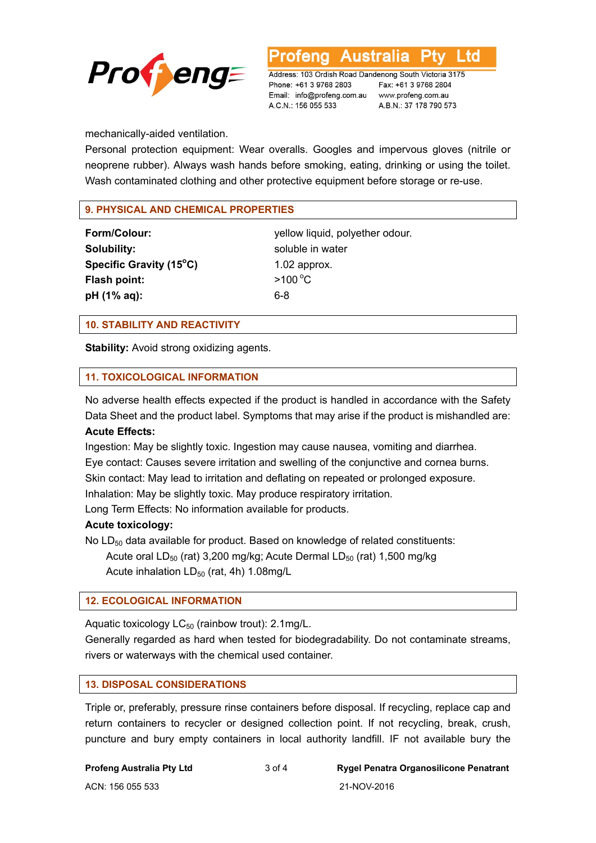

Ltd

Address: 103 Ordish Road Dandenong South Victoria 3175 Phone: +61 3 9768 2803 Email: info@profeng.com.au www.profeng.com.au A.C.N.: 156 055 533

Fax: +61 3 9768 2804 A.B.N.: 37 178 790 573

mechanically-aided ventilation.

Personal protection equipment: Wear overalls. Googles and impervous gloves (nitrile or neoprene rubber). Always wash hands before smoking, eating, drinking or using the toilet. Wash contaminated clothing and other protective equipment before storage or re-use.

# **9. PHYSICAL AND CHEMICAL PROPERTIES**

**Solubility:** soluble in water **Specific Gravity (15°C) Flash point:**  $>100^{\circ}$ C **pH (1% aq):** 6-8

**Form/Colour:** yellow liquid, polyether odour. **C)** 1.02 approx.

# **10. STABILITY AND REACTIVITY**

**Stability:** Avoid strong oxidizing agents.

# **11. TOXICOLOGICAL INFORMATION**

No adverse health effects expected if the product is handled in accordance with the Safety Data Sheet and the product label. Symptoms that may arise if the product is mishandled are:

# **Acute Effects:**

Ingestion: May be slightly toxic. Ingestion may cause nausea, vomiting and diarrhea. Eye contact: Causes severe irritation and swelling of the conjunctive and cornea burns. Skin contact: May lead to irritation and deflating on repeated or prolonged exposure. Inhalation: May be slightly toxic. May produce respiratory irritation. Long Term Effects: No information available for products.

# **Acute toxicology:**

No  $LD_{50}$  data available for product. Based on knowledge of related constituents:

Acute oral  $LD_{50}$  (rat) 3,200 mg/kg; Acute Dermal  $LD_{50}$  (rat) 1,500 mg/kg Acute inhalation  $LD_{50}$  (rat, 4h) 1.08mg/L

# **12. ECOLOGICAL INFORMATION**

Aquatic toxicology  $LC_{50}$  (rainbow trout): 2.1mg/L.

Generally regarded as hard when tested for biodegradability. Do not contaminate streams, rivers or waterways with the chemical used container.

# **13. DISPOSAL CONSIDERATIONS**

Triple or, preferably, pressure rinse containers before disposal. If recycling, replace cap and return containers to recycler or designed collection point. If not recycling, break, crush, puncture and bury empty containers in local authority landfill. IF not available bury the

ACN: 156 055 533 21-NOV-2016